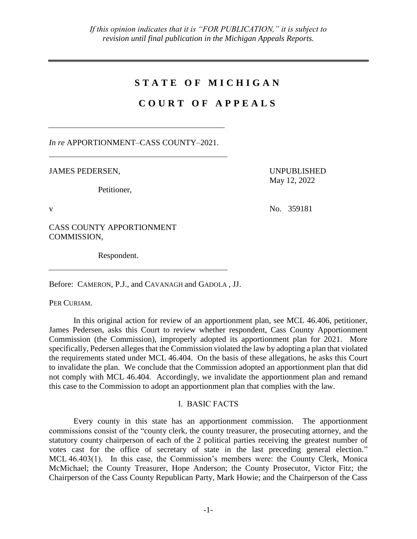# **S T A T E O F M I C H I G A N**

# **C O U R T O F A P P E A L S**

*In re* APPORTIONMENT–CASS COUNTY–2021.

JAMES PEDERSEN,

Petitioner,

UNPUBLISHED May 12, 2022

v No. 359181

CASS COUNTY APPORTIONMENT COMMISSION,

Respondent.

Before: CAMERON, P.J., and CAVANAGH and GADOLA , JJ.

PER CURIAM.

In this original action for review of an apportionment plan, see MCL 46.406, petitioner, James Pedersen, asks this Court to review whether respondent, Cass County Apportionment Commission (the Commission), improperly adopted its apportionment plan for 2021. More specifically, Pedersen alleges that the Commission violated the law by adopting a plan that violated the requirements stated under MCL 46.404. On the basis of these allegations, he asks this Court to invalidate the plan. We conclude that the Commission adopted an apportionment plan that did not comply with MCL 46.404. Accordingly, we invalidate the apportionment plan and remand this case to the Commission to adopt an apportionment plan that complies with the law.

# I. BASIC FACTS

Every county in this state has an apportionment commission. The apportionment commissions consist of the "county clerk, the county treasurer, the prosecuting attorney, and the statutory county chairperson of each of the 2 political parties receiving the greatest number of votes cast for the office of secretary of state in the last preceding general election." MCL 46.403(1). In this case, the Commission's members were: the County Clerk, Monica McMichael; the County Treasurer, Hope Anderson; the County Prosecutor, Victor Fitz; the Chairperson of the Cass County Republican Party, Mark Howie; and the Chairperson of the Cass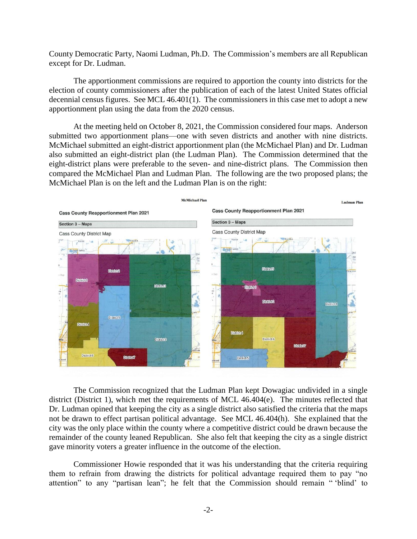County Democratic Party, Naomi Ludman, Ph.D. The Commission's members are all Republican except for Dr. Ludman.

The apportionment commissions are required to apportion the county into districts for the election of county commissioners after the publication of each of the latest United States official decennial census figures. See MCL 46.401(1). The commissioners in this case met to adopt a new apportionment plan using the data from the 2020 census.

At the meeting held on October 8, 2021, the Commission considered four maps. Anderson submitted two apportionment plans—one with seven districts and another with nine districts. McMichael submitted an eight-district apportionment plan (the McMichael Plan) and Dr. Ludman also submitted an eight-district plan (the Ludman Plan). The Commission determined that the eight-district plans were preferable to the seven- and nine-district plans. The Commission then compared the McMichael Plan and Ludman Plan. The following are the two proposed plans; the McMichael Plan is on the left and the Ludman Plan is on the right:



The Commission recognized that the Ludman Plan kept Dowagiac undivided in a single district (District 1), which met the requirements of MCL 46.404(e). The minutes reflected that Dr. Ludman opined that keeping the city as a single district also satisfied the criteria that the maps not be drawn to effect partisan political advantage. See MCL 46.404(h). She explained that the city was the only place within the county where a competitive district could be drawn because the remainder of the county leaned Republican. She also felt that keeping the city as a single district gave minority voters a greater influence in the outcome of the election.

Commissioner Howie responded that it was his understanding that the criteria requiring them to refrain from drawing the districts for political advantage required them to pay "no attention" to any "partisan lean"; he felt that the Commission should remain " 'blind' to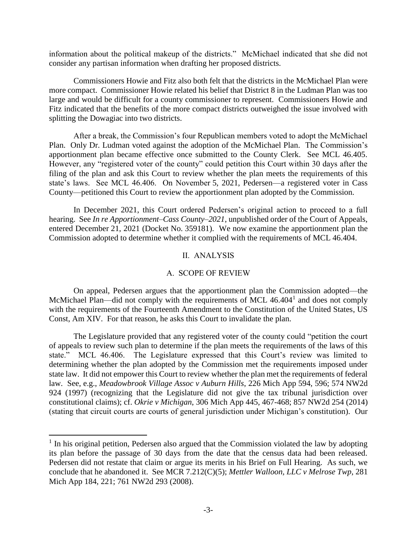information about the political makeup of the districts." McMichael indicated that she did not consider any partisan information when drafting her proposed districts.

Commissioners Howie and Fitz also both felt that the districts in the McMichael Plan were more compact. Commissioner Howie related his belief that District 8 in the Ludman Plan was too large and would be difficult for a county commissioner to represent. Commissioners Howie and Fitz indicated that the benefits of the more compact districts outweighed the issue involved with splitting the Dowagiac into two districts.

After a break, the Commission's four Republican members voted to adopt the McMichael Plan. Only Dr. Ludman voted against the adoption of the McMichael Plan. The Commission's apportionment plan became effective once submitted to the County Clerk. See MCL 46.405. However, any "registered voter of the county" could petition this Court within 30 days after the filing of the plan and ask this Court to review whether the plan meets the requirements of this state's laws. See MCL 46.406. On November 5, 2021, Pedersen—a registered voter in Cass County—petitioned this Court to review the apportionment plan adopted by the Commission.

In December 2021, this Court ordered Pedersen's original action to proceed to a full hearing. See *In re Apportionment–Cass County–2021*, unpublished order of the Court of Appeals, entered December 21, 2021 (Docket No. 359181). We now examine the apportionment plan the Commission adopted to determine whether it complied with the requirements of MCL 46.404.

# II. ANALYSIS

# A. SCOPE OF REVIEW

On appeal, Pedersen argues that the apportionment plan the Commission adopted—the McMichael Plan—did not comply with the requirements of MCL 46.404<sup>1</sup> and does not comply with the requirements of the Fourteenth Amendment to the Constitution of the United States, US Const, Am XIV. For that reason, he asks this Court to invalidate the plan.

The Legislature provided that any registered voter of the county could "petition the court of appeals to review such plan to determine if the plan meets the requirements of the laws of this state." MCL 46.406. The Legislature expressed that this Court's review was limited to determining whether the plan adopted by the Commission met the requirements imposed under state law. It did not empower this Court to review whether the plan met the requirements of federal law. See, e.g., *Meadowbrook Village Assoc v Auburn Hills*, 226 Mich App 594, 596; 574 NW2d 924 (1997) (recognizing that the Legislature did not give the tax tribunal jurisdiction over constitutional claims); cf. *Okrie v Michigan*, 306 Mich App 445, 467-468; 857 NW2d 254 (2014) (stating that circuit courts are courts of general jurisdiction under Michigan's constitution). Our

<sup>&</sup>lt;sup>1</sup> In his original petition, Pedersen also argued that the Commission violated the law by adopting its plan before the passage of 30 days from the date that the census data had been released. Pedersen did not restate that claim or argue its merits in his Brief on Full Hearing. As such, we conclude that he abandoned it. See MCR 7.212(C)(5); *Mettler Walloon, LLC v Melrose Twp*, 281 Mich App 184, 221; 761 NW2d 293 (2008).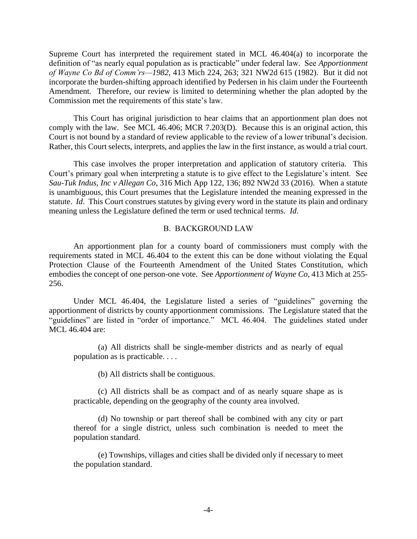Supreme Court has interpreted the requirement stated in MCL 46.404(a) to incorporate the definition of "as nearly equal population as is practicable" under federal law. See *Apportionment of Wayne Co Bd of Comm'rs—1982*, 413 Mich 224, 263; 321 NW2d 615 (1982). But it did not incorporate the burden-shifting approach identified by Pedersen in his claim under the Fourteenth Amendment. Therefore, our review is limited to determining whether the plan adopted by the Commission met the requirements of this state's law.

This Court has original jurisdiction to hear claims that an apportionment plan does not comply with the law. See MCL 46.406; MCR 7.203(D). Because this is an original action, this Court is not bound by a standard of review applicable to the review of a lower tribunal's decision. Rather, this Court selects, interprets, and applies the law in the first instance, as would a trial court.

This case involves the proper interpretation and application of statutory criteria. This Court's primary goal when interpreting a statute is to give effect to the Legislature's intent. See *Sau-Tuk Indus, Inc v Allegan Co*, 316 Mich App 122, 136; 892 NW2d 33 (2016). When a statute is unambiguous, this Court presumes that the Legislature intended the meaning expressed in the statute. *Id*. This Court construes statutes by giving every word in the statute its plain and ordinary meaning unless the Legislature defined the term or used technical terms. *Id*.

### B. BACKGROUND LAW

An apportionment plan for a county board of commissioners must comply with the requirements stated in MCL 46.404 to the extent this can be done without violating the Equal Protection Clause of the Fourteenth Amendment of the United States Constitution, which embodies the concept of one person-one vote. See *Apportionment of Wayne Co*, 413 Mich at 255- 256.

Under MCL 46.404, the Legislature listed a series of "guidelines" governing the apportionment of districts by county apportionment commissions. The Legislature stated that the "guidelines" are listed in "order of importance." MCL 46.404. The guidelines stated under MCL 46.404 are:

(a) All districts shall be single-member districts and as nearly of equal population as is practicable. . . .

(b) All districts shall be contiguous.

(c) All districts shall be as compact and of as nearly square shape as is practicable, depending on the geography of the county area involved.

(d) No township or part thereof shall be combined with any city or part thereof for a single district, unless such combination is needed to meet the population standard.

(e) Townships, villages and cities shall be divided only if necessary to meet the population standard.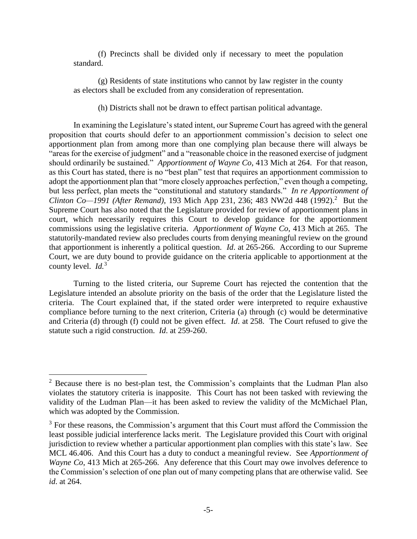(f) Precincts shall be divided only if necessary to meet the population standard.

(g) Residents of state institutions who cannot by law register in the county as electors shall be excluded from any consideration of representation.

(h) Districts shall not be drawn to effect partisan political advantage.

In examining the Legislature's stated intent, our Supreme Court has agreed with the general proposition that courts should defer to an apportionment commission's decision to select one apportionment plan from among more than one complying plan because there will always be "areas for the exercise of judgment" and a "reasonable choice in the reasoned exercise of judgment should ordinarily be sustained." *Apportionment of Wayne Co*, 413 Mich at 264. For that reason, as this Court has stated, there is no "best plan" test that requires an apportionment commission to adopt the apportionment plan that "more closely approaches perfection," even though a competing, but less perfect, plan meets the "constitutional and statutory standards." *In re Apportionment of Clinton Co—1991 (After Remand)*, 193 Mich App 231, 236; 483 NW2d 448 (1992).<sup>2</sup> But the Supreme Court has also noted that the Legislature provided for review of apportionment plans in court, which necessarily requires this Court to develop guidance for the apportionment commissions using the legislative criteria. *Apportionment of Wayne Co*, 413 Mich at 265. The statutorily-mandated review also precludes courts from denying meaningful review on the ground that apportionment is inherently a political question. *Id*. at 265-266. According to our Supreme Court, we are duty bound to provide guidance on the criteria applicable to apportionment at the county level. *Id.*<sup>3</sup>

Turning to the listed criteria, our Supreme Court has rejected the contention that the Legislature intended an absolute priority on the basis of the order that the Legislature listed the criteria. The Court explained that, if the stated order were interpreted to require exhaustive compliance before turning to the next criterion, Criteria (a) through (c) would be determinative and Criteria (d) through (f) could not be given effect. *Id*. at 258. The Court refused to give the statute such a rigid construction. *Id*. at 259-260.

 $2^{\circ}$  Because there is no best-plan test, the Commission's complaints that the Ludman Plan also violates the statutory criteria is inapposite. This Court has not been tasked with reviewing the validity of the Ludman Plan—it has been asked to review the validity of the McMichael Plan, which was adopted by the Commission.

<sup>&</sup>lt;sup>3</sup> For these reasons, the Commission's argument that this Court must afford the Commission the least possible judicial interference lacks merit. The Legislature provided this Court with original jurisdiction to review whether a particular apportionment plan complies with this state's law. See MCL 46.406. And this Court has a duty to conduct a meaningful review. See *Apportionment of Wayne Co*, 413 Mich at 265-266. Any deference that this Court may owe involves deference to the Commission's selection of one plan out of many competing plans that are otherwise valid. See *id*. at 264.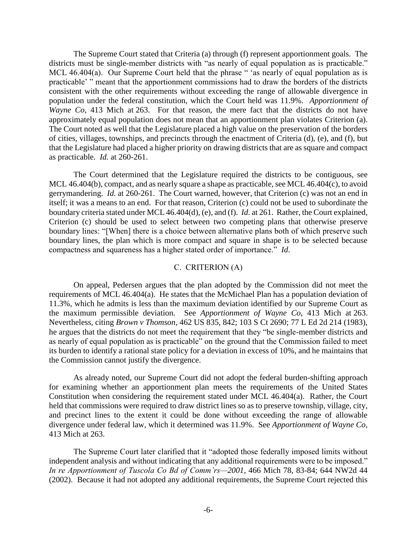The Supreme Court stated that Criteria (a) through (f) represent apportionment goals. The districts must be single-member districts with "as nearly of equal population as is practicable." MCL 46.404(a). Our Supreme Court held that the phrase " 'as nearly of equal population as is practicable' " meant that the apportionment commissions had to draw the borders of the districts consistent with the other requirements without exceeding the range of allowable divergence in population under the federal constitution, which the Court held was 11.9%. *Apportionment of Wayne Co*, 413 Mich at 263. For that reason, the mere fact that the districts do not have approximately equal population does not mean that an apportionment plan violates Criterion (a). The Court noted as well that the Legislature placed a high value on the preservation of the borders of cities, villages, townships, and precincts through the enactment of Criteria (d), (e), and (f), but that the Legislature had placed a higher priority on drawing districts that are as square and compact as practicable. *Id.* at 260-261.

The Court determined that the Legislature required the districts to be contiguous, see MCL 46.404(b), compact, and as nearly square a shape as practicable, see MCL 46.404(c), to avoid gerrymandering. *Id.* at 260-261. The Court warned, however, that Criterion (c) was not an end in itself; it was a means to an end. For that reason, Criterion (c) could not be used to subordinate the boundary criteria stated under MCL 46.404(d), (e), and (f). *Id*. at 261. Rather, the Court explained, Criterion (c) should be used to select between two competing plans that otherwise preserve boundary lines: "[When] there is a choice between alternative plans both of which preserve such boundary lines, the plan which is more compact and square in shape is to be selected because compactness and squareness has a higher stated order of importance." *Id*.

## C. CRITERION (A)

On appeal, Pedersen argues that the plan adopted by the Commission did not meet the requirements of MCL 46.404(a). He states that the McMichael Plan has a population deviation of 11.3%, which he admits is less than the maximum deviation identified by our Supreme Court as the maximum permissible deviation. See *Apportionment of Wayne Co*, 413 Mich at 263. Nevertheless, citing *Brown v Thomson*, 462 US 835, 842; 103 S Ct 2690; 77 L Ed 2d 214 (1983), he argues that the districts do not meet the requirement that they "be single-member districts and as nearly of equal population as is practicable" on the ground that the Commission failed to meet its burden to identify a rational state policy for a deviation in excess of 10%, and he maintains that the Commission cannot justify the divergence.

As already noted, our Supreme Court did not adopt the federal burden-shifting approach for examining whether an apportionment plan meets the requirements of the United States Constitution when considering the requirement stated under MCL 46.404(a). Rather, the Court held that commissions were required to draw district lines so as to preserve township, village, city, and precinct lines to the extent it could be done without exceeding the range of allowable divergence under federal law, which it determined was 11.9%. See *Apportionment of Wayne Co*, 413 Mich at 263.

The Supreme Court later clarified that it "adopted those federally imposed limits without independent analysis and without indicating that any additional requirements were to be imposed." *In re Apportionment of Tuscola Co Bd of Comm'rs—2001*, 466 Mich 78, 83-84; 644 NW2d 44 (2002). Because it had not adopted any additional requirements, the Supreme Court rejected this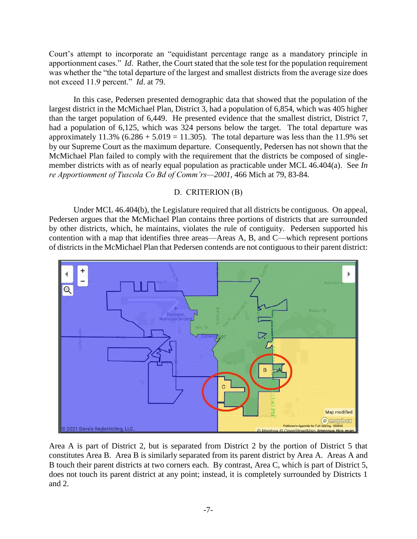Court's attempt to incorporate an "equidistant percentage range as a mandatory principle in apportionment cases." *Id*. Rather, the Court stated that the sole test for the population requirement was whether the "the total departure of the largest and smallest districts from the average size does not exceed 11.9 percent." *Id*. at 79.

In this case, Pedersen presented demographic data that showed that the population of the largest district in the McMichael Plan, District 3, had a population of 6,854, which was 405 higher than the target population of 6,449. He presented evidence that the smallest district, District 7, had a population of 6,125, which was 324 persons below the target. The total departure was approximately  $11.3\%$  (6.286 + 5.019 = 11.305). The total departure was less than the 11.9% set by our Supreme Court as the maximum departure. Consequently, Pedersen has not shown that the McMichael Plan failed to comply with the requirement that the districts be composed of singlemember districts with as of nearly equal population as practicable under MCL 46.404(a). See *In re Apportionment of Tuscola Co Bd of Comm'rs—2001*, 466 Mich at 79, 83-84.

### D. CRITERION (B)

Under MCL 46.404(b), the Legislature required that all districts be contiguous. On appeal, Pedersen argues that the McMichael Plan contains three portions of districts that are surrounded by other districts, which, he maintains, violates the rule of contiguity. Pedersen supported his contention with a map that identifies three areas—Areas A, B, and C—which represent portions of districts in the McMichael Plan that Pedersen contends are not contiguous to their parent district:



Area A is part of District 2, but is separated from District 2 by the portion of District 5 that constitutes Area B. Area B is similarly separated from its parent district by Area A. Areas A and B touch their parent districts at two corners each. By contrast, Area C, which is part of District 5, does not touch its parent district at any point; instead, it is completely surrounded by Districts 1 and 2.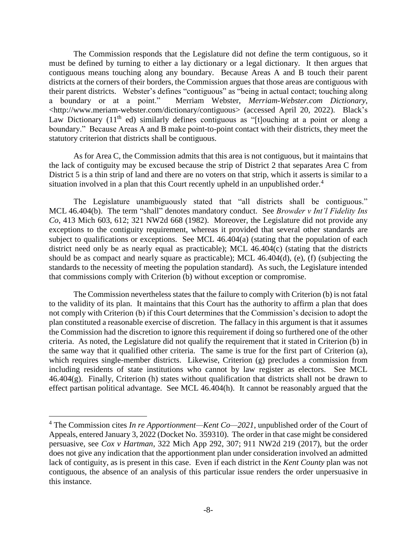The Commission responds that the Legislature did not define the term contiguous, so it must be defined by turning to either a lay dictionary or a legal dictionary. It then argues that contiguous means touching along any boundary. Because Areas A and B touch their parent districts at the corners of their borders, the Commission argues that those areas are contiguous with their parent districts. Webster's defines "contiguous" as "being in actual contact; touching along a boundary or at a point." Merriam Webster, *Merriam-Webster.com Dictionary*, <http://www.meriam-webster.com/dictionary/contiguous> (accessed April 20, 2022). Black's Law Dictionary  $(11<sup>th</sup>$  ed) similarly defines contiguous as "[t]ouching at a point or along a boundary." Because Areas A and B make point-to-point contact with their districts, they meet the statutory criterion that districts shall be contiguous.

As for Area C, the Commission admits that this area is not contiguous, but it maintains that the lack of contiguity may be excused because the strip of District 2 that separates Area C from District 5 is a thin strip of land and there are no voters on that strip, which it asserts is similar to a situation involved in a plan that this Court recently upheld in an unpublished order.<sup>4</sup>

The Legislature unambiguously stated that "all districts shall be contiguous." MCL 46.404(b). The term "shall" denotes mandatory conduct. See *Browder v Int'l Fidelity Ins Co*, 413 Mich 603, 612; 321 NW2d 668 (1982). Moreover, the Legislature did not provide any exceptions to the contiguity requirement, whereas it provided that several other standards are subject to qualifications or exceptions. See MCL 46.404(a) (stating that the population of each district need only be as nearly equal as practicable); MCL 46.404(c) (stating that the districts should be as compact and nearly square as practicable); MCL 46.404(d), (e), (f) (subjecting the standards to the necessity of meeting the population standard). As such, the Legislature intended that commissions comply with Criterion (b) without exception or compromise.

The Commission nevertheless states that the failure to comply with Criterion (b) is not fatal to the validity of its plan. It maintains that this Court has the authority to affirm a plan that does not comply with Criterion (b) if this Court determines that the Commission's decision to adopt the plan constituted a reasonable exercise of discretion. The fallacy in this argument is that it assumes the Commission had the discretion to ignore this requirement if doing so furthered one of the other criteria. As noted, the Legislature did not qualify the requirement that it stated in Criterion (b) in the same way that it qualified other criteria. The same is true for the first part of Criterion (a), which requires single-member districts. Likewise, Criterion (g) precludes a commission from including residents of state institutions who cannot by law register as electors. See MCL  $46.404(g)$ . Finally, Criterion (h) states without qualification that districts shall not be drawn to effect partisan political advantage. See MCL 46.404(h). It cannot be reasonably argued that the

<sup>4</sup> The Commission cites *In re Apportionment—Kent Co—2021*, unpublished order of the Court of Appeals, entered January 3, 2022 (Docket No. 359310). The order in that case might be considered persuasive, see *Cox v Hartman*, 322 Mich App 292, 307; 911 NW2d 219 (2017), but the order does not give any indication that the apportionment plan under consideration involved an admitted lack of contiguity, as is present in this case. Even if each district in the *Kent County* plan was not contiguous, the absence of an analysis of this particular issue renders the order unpersuasive in this instance.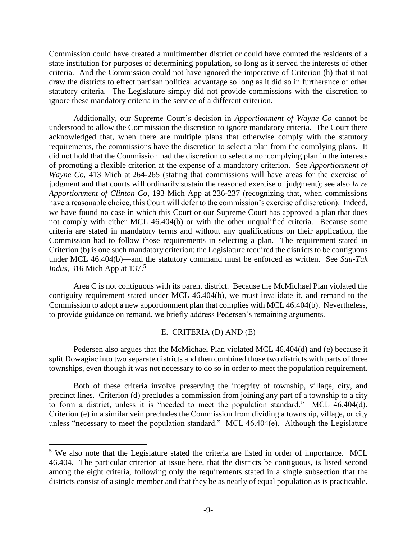Commission could have created a multimember district or could have counted the residents of a state institution for purposes of determining population, so long as it served the interests of other criteria. And the Commission could not have ignored the imperative of Criterion (h) that it not draw the districts to effect partisan political advantage so long as it did so in furtherance of other statutory criteria. The Legislature simply did not provide commissions with the discretion to ignore these mandatory criteria in the service of a different criterion.

Additionally, our Supreme Court's decision in *Apportionment of Wayne Co* cannot be understood to allow the Commission the discretion to ignore mandatory criteria. The Court there acknowledged that, when there are multiple plans that otherwise comply with the statutory requirements, the commissions have the discretion to select a plan from the complying plans. It did not hold that the Commission had the discretion to select a noncomplying plan in the interests of promoting a flexible criterion at the expense of a mandatory criterion. See *Apportionment of Wayne Co*, 413 Mich at 264-265 (stating that commissions will have areas for the exercise of judgment and that courts will ordinarily sustain the reasoned exercise of judgment); see also *In re Apportionment of Clinton Co*, 193 Mich App at 236-237 (recognizing that, when commissions have a reasonable choice, this Court will defer to the commission's exercise of discretion). Indeed, we have found no case in which this Court or our Supreme Court has approved a plan that does not comply with either MCL 46.404(b) or with the other unqualified criteria. Because some criteria are stated in mandatory terms and without any qualifications on their application, the Commission had to follow those requirements in selecting a plan. The requirement stated in Criterion (b) is one such mandatory criterion; the Legislature required the districts to be contiguous under MCL 46.404(b)—and the statutory command must be enforced as written. See *Sau-Tuk Indus*, 316 Mich App at 137.<sup>5</sup>

Area C is not contiguous with its parent district. Because the McMichael Plan violated the contiguity requirement stated under MCL 46.404(b), we must invalidate it, and remand to the Commission to adopt a new apportionment plan that complies with MCL 46.404(b). Nevertheless, to provide guidance on remand, we briefly address Pedersen's remaining arguments.

# E. CRITERIA (D) AND (E)

Pedersen also argues that the McMichael Plan violated MCL 46.404(d) and (e) because it split Dowagiac into two separate districts and then combined those two districts with parts of three townships, even though it was not necessary to do so in order to meet the population requirement.

Both of these criteria involve preserving the integrity of township, village, city, and precinct lines. Criterion (d) precludes a commission from joining any part of a township to a city to form a district, unless it is "needed to meet the population standard." MCL 46.404(d). Criterion (e) in a similar vein precludes the Commission from dividing a township, village, or city unless "necessary to meet the population standard." MCL 46.404(e). Although the Legislature

<sup>&</sup>lt;sup>5</sup> We also note that the Legislature stated the criteria are listed in order of importance. MCL 46.404. The particular criterion at issue here, that the districts be contiguous, is listed second among the eight criteria, following only the requirements stated in a single subsection that the districts consist of a single member and that they be as nearly of equal population as is practicable.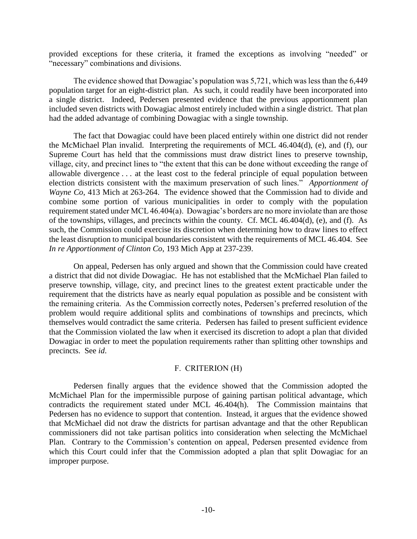provided exceptions for these criteria, it framed the exceptions as involving "needed" or "necessary" combinations and divisions.

The evidence showed that Dowagiac's population was 5,721, which was less than the 6,449 population target for an eight-district plan. As such, it could readily have been incorporated into a single district. Indeed, Pedersen presented evidence that the previous apportionment plan included seven districts with Dowagiac almost entirely included within a single district. That plan had the added advantage of combining Dowagiac with a single township.

The fact that Dowagiac could have been placed entirely within one district did not render the McMichael Plan invalid. Interpreting the requirements of MCL 46.404(d), (e), and (f), our Supreme Court has held that the commissions must draw district lines to preserve township, village, city, and precinct lines to "the extent that this can be done without exceeding the range of allowable divergence . . . at the least cost to the federal principle of equal population between election districts consistent with the maximum preservation of such lines." *Apportionment of Wayne Co*, 413 Mich at 263-264. The evidence showed that the Commission had to divide and combine some portion of various municipalities in order to comply with the population requirement stated under MCL 46.404(a). Dowagiac's borders are no more inviolate than are those of the townships, villages, and precincts within the county. Cf. MCL 46.404(d), (e), and (f). As such, the Commission could exercise its discretion when determining how to draw lines to effect the least disruption to municipal boundaries consistent with the requirements of MCL 46.404. See *In re Apportionment of Clinton Co*, 193 Mich App at 237-239.

On appeal, Pedersen has only argued and shown that the Commission could have created a district that did not divide Dowagiac. He has not established that the McMichael Plan failed to preserve township, village, city, and precinct lines to the greatest extent practicable under the requirement that the districts have as nearly equal population as possible and be consistent with the remaining criteria. As the Commission correctly notes, Pedersen's preferred resolution of the problem would require additional splits and combinations of townships and precincts, which themselves would contradict the same criteria. Pedersen has failed to present sufficient evidence that the Commission violated the law when it exercised its discretion to adopt a plan that divided Dowagiac in order to meet the population requirements rather than splitting other townships and precincts. See *id*.

### F. CRITERION (H)

Pedersen finally argues that the evidence showed that the Commission adopted the McMichael Plan for the impermissible purpose of gaining partisan political advantage, which contradicts the requirement stated under MCL 46.404(h). The Commission maintains that Pedersen has no evidence to support that contention. Instead, it argues that the evidence showed that McMichael did not draw the districts for partisan advantage and that the other Republican commissioners did not take partisan politics into consideration when selecting the McMichael Plan. Contrary to the Commission's contention on appeal, Pedersen presented evidence from which this Court could infer that the Commission adopted a plan that split Dowagiac for an improper purpose.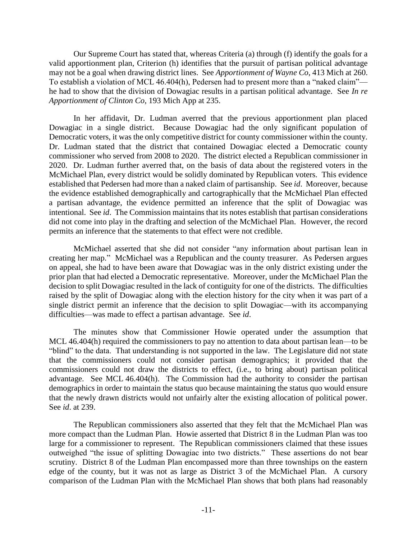Our Supreme Court has stated that, whereas Criteria (a) through (f) identify the goals for a valid apportionment plan, Criterion (h) identifies that the pursuit of partisan political advantage may not be a goal when drawing district lines. See *Apportionment of Wayne Co*, 413 Mich at 260. To establish a violation of MCL 46.404(h), Pedersen had to present more than a "naked claim" he had to show that the division of Dowagiac results in a partisan political advantage. See *In re Apportionment of Clinton Co*, 193 Mich App at 235.

In her affidavit, Dr. Ludman averred that the previous apportionment plan placed Dowagiac in a single district. Because Dowagiac had the only significant population of Democratic voters, it was the only competitive district for county commissioner within the county. Dr. Ludman stated that the district that contained Dowagiac elected a Democratic county commissioner who served from 2008 to 2020. The district elected a Republican commissioner in 2020. Dr. Ludman further averred that, on the basis of data about the registered voters in the McMichael Plan, every district would be solidly dominated by Republican voters. This evidence established that Pedersen had more than a naked claim of partisanship. See *id*. Moreover, because the evidence established demographically and cartographically that the McMichael Plan effected a partisan advantage, the evidence permitted an inference that the split of Dowagiac was intentional. See *id*. The Commission maintains that its notes establish that partisan considerations did not come into play in the drafting and selection of the McMichael Plan. However, the record permits an inference that the statements to that effect were not credible.

McMichael asserted that she did not consider "any information about partisan lean in creating her map." McMichael was a Republican and the county treasurer. As Pedersen argues on appeal, she had to have been aware that Dowagiac was in the only district existing under the prior plan that had elected a Democratic representative. Moreover, under the McMichael Plan the decision to split Dowagiac resulted in the lack of contiguity for one of the districts. The difficulties raised by the split of Dowagiac along with the election history for the city when it was part of a single district permit an inference that the decision to split Dowagiac—with its accompanying difficulties—was made to effect a partisan advantage. See *id*.

The minutes show that Commissioner Howie operated under the assumption that MCL 46.404(h) required the commissioners to pay no attention to data about partisan lean—to be "blind" to the data. That understanding is not supported in the law. The Legislature did not state that the commissioners could not consider partisan demographics; it provided that the commissioners could not draw the districts to effect, (i.e., to bring about) partisan political advantage. See MCL 46.404(h). The Commission had the authority to consider the partisan demographics in order to maintain the status quo because maintaining the status quo would ensure that the newly drawn districts would not unfairly alter the existing allocation of political power. See *id*. at 239.

The Republican commissioners also asserted that they felt that the McMichael Plan was more compact than the Ludman Plan. Howie asserted that District 8 in the Ludman Plan was too large for a commissioner to represent. The Republican commissioners claimed that these issues outweighed "the issue of splitting Dowagiac into two districts." These assertions do not bear scrutiny. District 8 of the Ludman Plan encompassed more than three townships on the eastern edge of the county, but it was not as large as District 3 of the McMichael Plan. A cursory comparison of the Ludman Plan with the McMichael Plan shows that both plans had reasonably